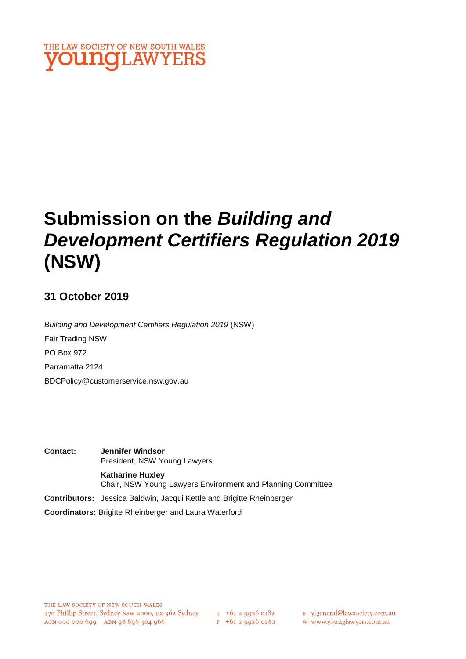

# **Submission on the** *Building and Development Certifiers Regulation 2019*  **(NSW)**

### **31 October 2019**

*Building and Development Certifiers Regulation 2019* (NSW) Fair Trading NSW PO Box 972 Parramatta 2124 BDCPolicy@customerservice.nsw.gov.au

- **Contact: Jennifer Windsor** President, NSW Young Lawyers **Katharine Huxley** Chair, NSW Young Lawyers Environment and Planning Committee **Contributors:** Jessica Baldwin, Jacqui Kettle and Brigitte Rheinberger
- **Coordinators:** Brigitte Rheinberger and Laura Waterford

- E ylgeneral@lawsociety.com.au
- w www.younglawyers.com.au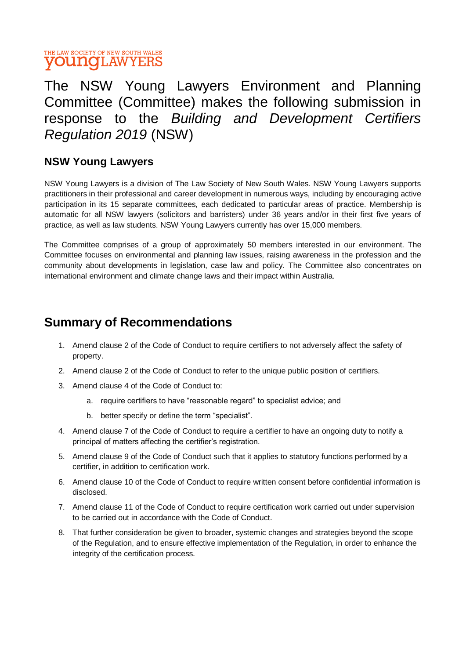#### THE LAW SOCIETY OF NEW SOUTH WALES **YOUNGLAWYERS**

The NSW Young Lawyers Environment and Planning Committee (Committee) makes the following submission in response to the *Building and Development Certifiers Regulation 2019* (NSW)

### **NSW Young Lawyers**

NSW Young Lawyers is a division of The Law Society of New South Wales. NSW Young Lawyers supports practitioners in their professional and career development in numerous ways, including by encouraging active participation in its 15 separate committees, each dedicated to particular areas of practice. Membership is automatic for all NSW lawyers (solicitors and barristers) under 36 years and/or in their first five years of practice, as well as law students. NSW Young Lawyers currently has over 15,000 members.

The Committee comprises of a group of approximately 50 members interested in our environment. The Committee focuses on environmental and planning law issues, raising awareness in the profession and the community about developments in legislation, case law and policy. The Committee also concentrates on international environment and climate change laws and their impact within Australia.

## **Summary of Recommendations**

- 1. Amend clause 2 of the Code of Conduct to require certifiers to not adversely affect the safety of property.
- 2. Amend clause 2 of the Code of Conduct to refer to the unique public position of certifiers.
- 3. Amend clause 4 of the Code of Conduct to:
	- a. require certifiers to have "reasonable regard" to specialist advice; and
	- b. better specify or define the term "specialist".
- 4. Amend clause 7 of the Code of Conduct to require a certifier to have an ongoing duty to notify a principal of matters affecting the certifier's registration.
- 5. Amend clause 9 of the Code of Conduct such that it applies to statutory functions performed by a certifier, in addition to certification work.
- 6. Amend clause 10 of the Code of Conduct to require written consent before confidential information is disclosed.
- 7. Amend clause 11 of the Code of Conduct to require certification work carried out under supervision to be carried out in accordance with the Code of Conduct.
- 8. That further consideration be given to broader, systemic changes and strategies beyond the scope of the Regulation, and to ensure effective implementation of the Regulation, in order to enhance the integrity of the certification process.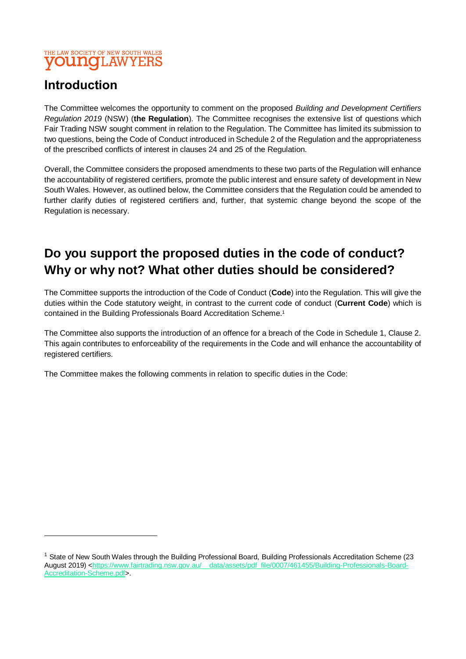#### THE LAW SOCIETY OF NEW SOUTH WALES **YOUNGLAWYERS**

# **Introduction**

 $\overline{a}$ 

The Committee welcomes the opportunity to comment on the proposed *Building and Development Certifiers Regulation 2019* (NSW) (**the Regulation**). The Committee recognises the extensive list of questions which Fair Trading NSW sought comment in relation to the Regulation. The Committee has limited its submission to two questions, being the Code of Conduct introduced in Schedule 2 of the Regulation and the appropriateness of the prescribed conflicts of interest in clauses 24 and 25 of the Regulation.

Overall, the Committee considers the proposed amendments to these two parts of the Regulation will enhance the accountability of registered certifiers, promote the public interest and ensure safety of development in New South Wales. However, as outlined below, the Committee considers that the Regulation could be amended to further clarify duties of registered certifiers and, further, that systemic change beyond the scope of the Regulation is necessary.

# **Do you support the proposed duties in the code of conduct? Why or why not? What other duties should be considered?**

The Committee supports the introduction of the Code of Conduct (**Code**) into the Regulation. This will give the duties within the Code statutory weight, in contrast to the current code of conduct (**Current Code**) which is contained in the Building Professionals Board Accreditation Scheme.<sup>1</sup>

The Committee also supports the introduction of an offence for a breach of the Code in Schedule 1, Clause 2. This again contributes to enforceability of the requirements in the Code and will enhance the accountability of registered certifiers.

The Committee makes the following comments in relation to specific duties in the Code:

<sup>&</sup>lt;sup>1</sup> State of New South Wales through the Building Professional Board, Building Professionals Accreditation Scheme (23 August 2019) [<https://www.fairtrading.nsw.gov.au/\\_\\_data/assets/pdf\\_file/0007/461455/Building-Professionals-Board-](https://www.fairtrading.nsw.gov.au/__data/assets/pdf_file/0007/461455/Building-Professionals-Board-Accreditation-Scheme.pdf)[Accreditation-Scheme.pdf>](https://www.fairtrading.nsw.gov.au/__data/assets/pdf_file/0007/461455/Building-Professionals-Board-Accreditation-Scheme.pdf).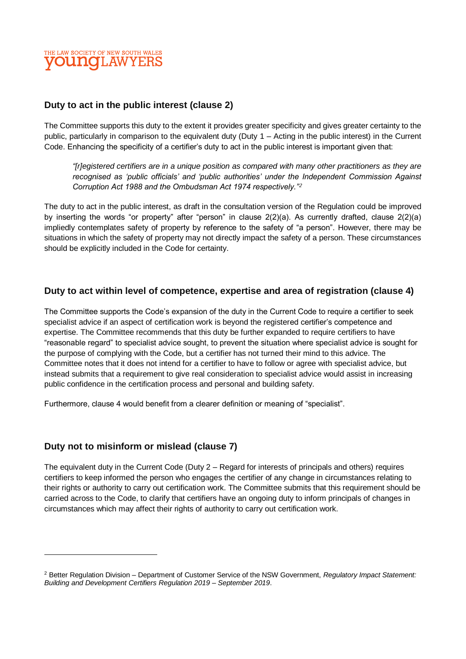#### THE LAW SOCIETY OF NEW SOUTH WALES **VOUNGLAWYERS**

#### **Duty to act in the public interest (clause 2)**

The Committee supports this duty to the extent it provides greater specificity and gives greater certainty to the public, particularly in comparison to the equivalent duty (Duty 1 – Acting in the public interest) in the Current Code. Enhancing the specificity of a certifier's duty to act in the public interest is important given that:

*"[r]egistered certifiers are in a unique position as compared with many other practitioners as they are recognised as 'public officials' and 'public authorities' under the Independent Commission Against Corruption Act 1988 and the Ombudsman Act 1974 respectively."*<sup>2</sup>

The duty to act in the public interest, as draft in the consultation version of the Regulation could be improved by inserting the words "or property" after "person" in clause 2(2)(a). As currently drafted, clause 2(2)(a) impliedly contemplates safety of property by reference to the safety of "a person". However, there may be situations in which the safety of property may not directly impact the safety of a person. These circumstances should be explicitly included in the Code for certainty.

#### **Duty to act within level of competence, expertise and area of registration (clause 4)**

The Committee supports the Code's expansion of the duty in the Current Code to require a certifier to seek specialist advice if an aspect of certification work is beyond the registered certifier's competence and expertise. The Committee recommends that this duty be further expanded to require certifiers to have "reasonable regard" to specialist advice sought, to prevent the situation where specialist advice is sought for the purpose of complying with the Code, but a certifier has not turned their mind to this advice. The Committee notes that it does not intend for a certifier to have to follow or agree with specialist advice, but instead submits that a requirement to give real consideration to specialist advice would assist in increasing public confidence in the certification process and personal and building safety.

Furthermore, clause 4 would benefit from a clearer definition or meaning of "specialist".

#### **Duty not to misinform or mislead (clause 7)**

 $\overline{a}$ 

The equivalent duty in the Current Code (Duty 2 – Regard for interests of principals and others) requires certifiers to keep informed the person who engages the certifier of any change in circumstances relating to their rights or authority to carry out certification work. The Committee submits that this requirement should be carried across to the Code, to clarify that certifiers have an ongoing duty to inform principals of changes in circumstances which may affect their rights of authority to carry out certification work.

<sup>2</sup> Better Regulation Division – Department of Customer Service of the NSW Government, *Regulatory Impact Statement: Building and Development Certifiers Regulation 2019 – September 2019*.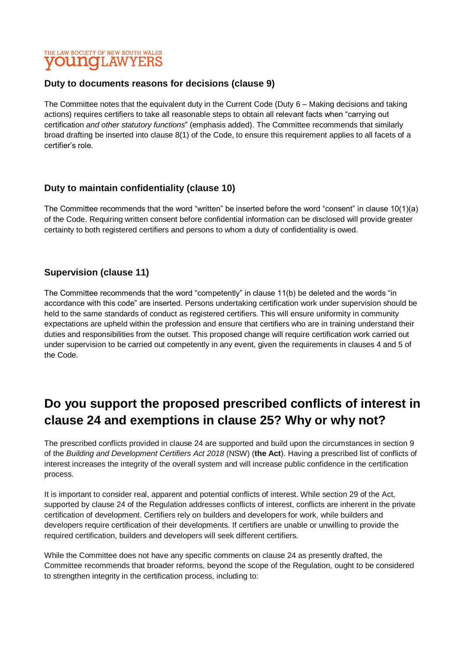#### THE LAW SOCIETY OF NEW SOUTH WALES **YOUNGLAWYERS**

#### **Duty to documents reasons for decisions (clause 9)**

The Committee notes that the equivalent duty in the Current Code (Duty 6 – Making decisions and taking actions) requires certifiers to take all reasonable steps to obtain all relevant facts when "carrying out certification *and other statutory functions*" (emphasis added). The Committee recommends that similarly broad drafting be inserted into clause 8(1) of the Code, to ensure this requirement applies to all facets of a certifier's role.

#### **Duty to maintain confidentiality (clause 10)**

The Committee recommends that the word "written" be inserted before the word "consent" in clause 10(1)(a) of the Code. Requiring written consent before confidential information can be disclosed will provide greater certainty to both registered certifiers and persons to whom a duty of confidentiality is owed.

#### **Supervision (clause 11)**

The Committee recommends that the word "competently" in clause 11(b) be deleted and the words "in accordance with this code" are inserted. Persons undertaking certification work under supervision should be held to the same standards of conduct as registered certifiers. This will ensure uniformity in community expectations are upheld within the profession and ensure that certifiers who are in training understand their duties and responsibilities from the outset. This proposed change will require certification work carried out under supervision to be carried out competently in any event, given the requirements in clauses 4 and 5 of the Code.

# **Do you support the proposed prescribed conflicts of interest in clause 24 and exemptions in clause 25? Why or why not?**

The prescribed conflicts provided in clause 24 are supported and build upon the circumstances in section 9 of the *Building and Development Certifiers Act 2018* (NSW) (**the Act**). Having a prescribed list of conflicts of interest increases the integrity of the overall system and will increase public confidence in the certification process.

It is important to consider real, apparent and potential conflicts of interest. While section 29 of the Act, supported by clause 24 of the Regulation addresses conflicts of interest, conflicts are inherent in the private certification of development. Certifiers rely on builders and developers for work, while builders and developers require certification of their developments. If certifiers are unable or unwilling to provide the required certification, builders and developers will seek different certifiers.

While the Committee does not have any specific comments on clause 24 as presently drafted, the Committee recommends that broader reforms, beyond the scope of the Regulation, ought to be considered to strengthen integrity in the certification process, including to: